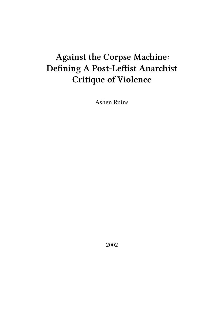# **Against the Corpse Machine: Defining A Post-Leftist Anarchist Critique of Violence**

Ashen Ruins

2002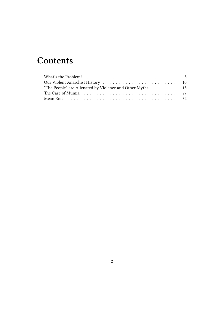## **Contents**

| "The People" are Alienated by Violence and Other Myths $\dots \dots \dots$ 13                   |  |
|-------------------------------------------------------------------------------------------------|--|
|                                                                                                 |  |
| Mean Ends $\ldots \ldots \ldots \ldots \ldots \ldots \ldots \ldots \ldots \ldots \ldots \ldots$ |  |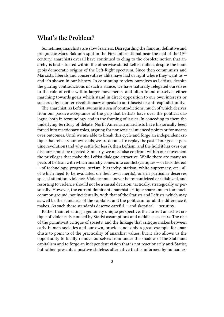#### <span id="page-2-0"></span>**What's the Problem?**

Sometimes anarchists are slow learners. Disregarding the famous, definitive and prognostic Marx-Bakunin split in the First International near the end of the 19<sup>th</sup> century, anarchists overall have continued to cling to the obsolete notion that anarchy is best situated within the otherwise statist Leftist milieu, despite the bourgeois democratic origins of the Left-Right spectrum. Since then communists and Marxists, liberals and conservatives alike have had us right where they want us  $$ and it's shown in our history. In continuing to view ourselves as Leftists, despite the glaring contradictions in such a stance, we have naturally relegated ourselves to the role of critic within larger movements, and often found ourselves either marching towards goals which stand in direct opposition to our own interests or suckered by counter-revolutionary appeals to anti-fascist or anti-capitalist unity.

The anarchist, as Leftist, swims in a sea of contradictions, much of which derives from our passive acceptance of the grip that Leftists have over the political dialogue, both in terminology and in the framing of issues. In conceding to them the underlying territory of debate, North American anarchists have historically been forced into reactionary roles, arguing for nonsensical nuanced points or for means over outcomes. Until we are able to break this cycle and forge an independent critique that reflects our own ends, we are doomed to replay the past. If our goal is genuine revolution (and why settle for less?), then Leftism, and the hold it has over our discourse must be rejected. Similarly, we must also confront within our movement the privileges that make the Leftist dialogue attractive. While there are many aspects of Leftism with which anarchy comes into conflict (critiques — or lack thereof — of technology, progress, sexism, hierarchy, statism, white supremacy, etc., all of which need to be evaluated on their own merits), one in particular deserves special attention: violence. Violence must never be romanticized or fetishized, and resorting to violence should not be a casual decision, tactically, strategically or personally. However, the current dominant anarchist critique shares much too much common ground, not incidentally, with that of the Statists and Leftists, which may as well be the standards of the capitalist and the politician for all the difference it makes. As such these standards deserve careful  $-$  and skeptical  $-$  scrutiny.

Rather than reflecting a genuinely unique perspective, the current anarchist critique of violence is clouded by Statist assumptions and middle class fears. The rise of the primitivist critique of society, and the linkage that critique makes between early human societies and our own, provides not only a great example for anarchists to point to of the practicality of anarchist values, but it also allows us the opportunity to finally remove ourselves from under the shadow of the State and capitalism and to forge an independent vision that is not reactionarily anti-Statist, but rather, presents a positive stateless alternative that is informed by human ex-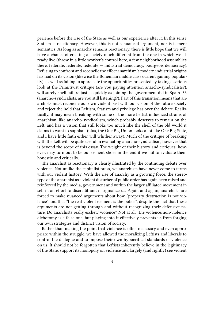perience before the rise of the State as well as our experience after it. In this sense Statism is reactionary. However, this is not a nuanced argument, nor is it mere semantics. As long as anarchy remains reactionary, there is little hope that we will have a chance of creating a society much different from the one in which we already live (throw in a little worker's control here, a few neighborhood assemblies there, federate, federate, federate — industrial democracy, bourgeois democracy). Refusing to confront and reconcile the effect anarchism's modern industrial origins has had on its vision (likewise the Bohemian middle class current gaining popularity), as well as failing to appreciate the opportunities presented by taking a serious look at the Primitivist critique (are you paying attention anarcho-syndicalists?), will surely spell failure just as quickly as joining the government did in Spain '36 (anarcho-syndicalists, are you still listening?). Part of this transition means that anarchists must reconcile our own violent past with our vision of the future society and reject the hold that Leftism, Statism and privilege has over the debate. Realistically, it may mean breaking with some of the more Leftist influenced strains of anarchism, like anarcho-syndicalism, which probably deserves to remain on the Left, and has a vision that still looks too much like the shell of the old world it claims to want to supplant (plus, the One Big Union looks a lot like One Big State, and I have little faith either will whither away). Much of the critique of breaking with the Left will be quite useful in evaluating anarcho-syndicalism, however that is beyond the scope of this essay. The weight of their history and critiques, however, may turn out to be our cement shoes in the end if we fail to evaluate them honestly and critically.

The anarchist as reactionary is clearly illustrated by the continuing debate over violence. Not unlike the capitalist press, we anarchists have never come to terms with our violent history. With the rise of anarchy as a growing force, the stereotype of the anarchist as a violent disturber of public order has again been raised and reinforced by the media, government and within the larger affiliated movement itself in an effort to discredit and marginalize us. Again and again, anarchists are forced to make nuanced arguments about how "property destruction is not violence" and that "the real violent element is the police", despite the fact that these arguments are not getting through and without recognizing their defensive nature. Do anarchists really eschew violence? Not at all. The violence/non-violence dichotomy is a false one, but playing into it effectively prevents us from forging our own strategies and distinct vision of society.

Rather than making the point that violence is often necessary and even appropriate within the struggle, we have allowed the moralizing Leftists and liberals to control the dialogue and to impose their own hypocritical standards of violence on us. It should not be forgotten that Leftists inherently believe in the legitimacy of the State, support its monopoly on violence and largely (and rightly) see violent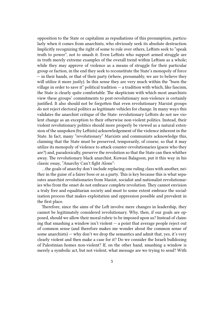opposition to the State or capitalism as repudiations of this presumption, particularly when it comes from anarchists, who obviously seek its absolute destruction. Implicitly recognizing the right of some to rule over others, Leftists seek to "speak truth to power", not to smash it. Even Leftists who support armed struggle are in truth merely extreme examples of the overall trend within Leftism as a whole; while they may approve of violence as a means of struggle for their particular group or faction, in the end they seek to reconstitute the State's monopoly of force — in their hands, or that of their party (where, presumably, we are to believe they will utilize it more justly). In this sense they are very much within the "burn the village in order to save it" political tradition  $-$  a tradition with which, like fascism, the State is clearly quite comfortable. The skepticism with which most anarchists view these groups' commitments to post-revolutionary non-violence is certainly justified. It also should not be forgotten that even revolutionary Marxist groups do not reject electoral politics as legitimate vehicles for change. In many ways this validates the anarchist critique of the State: revolutionary Leftists do not see violent change as an exception to their otherwise non-violent politics. Instead, their violent revolutionary politics should more properly be viewed as a natural extension of the unspoken (by Leftists) acknowledgement of the violence inherent in the State. In fact, many "revolutionary" Marxists and communists acknowledge this, claiming that the State must be preserved, temporarily, of course, so that it may utilize its monopoly of violence to attack counter-revolutionaries (guess who they are?) and, paradoxically, preserve the revolution so that the State can then whither away. The revolutionary black anarchist, Kuwasi Balagoon, put it this way in his classic essay, "Anarchy Can't fight Alone":

…the goals of anarchy don't include replacing one ruling class with another, neither in the guise of a fairer boss or as a party. This is key because this is what separates anarchist revolutionaries from Maoist, socialist and nationalist revolutionaries who from the onset do not embrace complete revolution. They cannot envision a truly free and equalitarian society and must to some extent embrace the socialization process that makes exploitation and oppression possible and prevalent in the first place.

Therefore, since the aims of the Left involve mere changes in leadership, they cannot be legitimately considered revolutionary. Why, then, if our goals are opposed, should we allow their moral rubric to be imposed upon us? Instead of claiming that smashing a window isn't violent  $-$  a point that average people reject out of common sense (and therefore makes me wonder about the common sense of some anarchists) — why don't we drop the semantics and admit that, yes, it's very clearly violent and then make a case for it? Do we consider the Israeli bulldozing of Palestinian homes non-violent? If, on the other hand, smashing a window is merely a symbolic act, but not violent, what message are we trying to send? With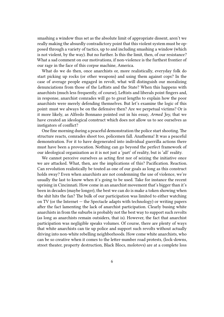smashing a window thus set as the absolute limit of appropriate dissent, aren't we really making the absurdly contradictory point that this violent system must be opposed through a variety of tactics, up to and including smashing a window (which is not violent, by the way). But no further. Is this the limit, then, of our resistance? What a sad comment on our motivations, if non-violence is the furthest frontier of our rage in the face of this corpse machine, America.

What do we do then, once anarchists or, more realistically, everyday folk do start picking up rocks (or other weapons) and using them against cops? In the case of average people engaged in revolt, what will distinguish our moralizing denunciations from those of the Leftists and the State? When this happens with anarchists (much less frequently, of course), Leftists and liberals point fingers and, in response, anarchist comrades will go to great lengths to explain how the poor anarchists were merely defending themselves. But let's examine the logic of this point: must we always be on the defensive then? Are we perpetual victims? Or is it more likely, as Alfredo Bonnano pointed out in his essay, *Armed Joy*, that we have created an ideological construct which does not allow us to see ourselves as instigators of conflict?

One fine morning during a peaceful demonstration the police start shooting. The structure reacts, comrades shoot too, policemen fall. Anathema! It was a peaceful demonstration. For it to have degenerated into individual guerrilla actions there must have been a provocation. Nothing can go beyond the perfect framework of our ideological organization as it is not just a 'part' of reality, but is 'all' reality.

We cannot perceive ourselves as acting first nor of seizing the initiative once we are attacked. What, then, are the implications of this? Pacification. Reaction. Can revolution realistically be touted as one of our goals as long as this construct holds sway? Even when anarchists are not condemning the use of violence, we're usually the last to know when it's going to be used. Take for instance the recent uprising in Cincinnati. How come in an anarchist movement that's bigger than it's been in decades (maybe longer), the best we can do is make a token showing when the shit hits the fan? The bulk of our participation was limited to either watching on TV (or the Internet — the Spectacle adapts with technology) or writing papers after the fact lamenting the lack of anarchist participation. Clearly busing white anarchists in from the suburbs is probably not the best way to support such revolts (as long as anarchists remain outsiders, that is). However, the fact that anarchist participation was negligible speaks volumes. Of course, there are plenty of ways that white anarchists can tie up police and support such revolts without actually driving into non-white rebelling neighborhoods. How come white anarchists, who can be so creative when it comes to the letter-number road protests, (lock-downs, street theater, property destruction, Black Blocs, molotovs) are at a complete loss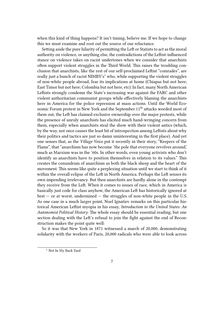when this kind of thing happens? It isn't timing, believe me. If we hope to change this we must examine and root out the source of our reluctance.

Setting aside the pure hilarity of permitting the Left or Statists to act as the moral authority on violence, or anything else, the contradictions of the Leftist-influenced stance on violence takes on racist undertones when we consider that anarchists often support violent struggles in the Third World. This raises the troubling conclusion that anarchists, like the rest of our self-proclaimed Leftist "comrades", are really just a bunch of racist  $NIMBY's<sup>1</sup>$  who, while supporting the violent struggles of non-white people abroad, fear its implications at home (Chiapas but not here; East Timor but not here; Colombia but not here, etc). In fact, many North American Leftists strongly condemn the State's increasing war against the FARC and other violent authoritarian communist groups while effectively blaming the anarchists here in America for the police repression at mass actions. Until the World Economic Forum protest in New York and the September 11<sup>th</sup> attacks weeded most of them out, the Left has claimed exclusive ownership over the major protests, while the presence of unruly anarchists has elicited much hand-wringing concern from them, especially when anarchists steal the show with their violent antics (which, by the way, not once causes the least bit of introspection among Leftists about why their politics and tactics are just so damn uninteresting in the first place). And yet one senses that, as the *Village Voice* put it recently in their story, "Keepers of the Flame", that "anarchism has now become 'the pole that everyone revolves around,' much as Marxism was in the '60s. In other words, even young activists who don't identify as anarchists have to position themselves in relation to its values." This creates the conundrum of anarchism as both the black sheep and the heart of the movement. This seems like quite a perplexing situation until we start to think of it within the overall eclipse of the Left in North America. Perhaps the Left senses its own impending irrelevancy. But then anarchists are hardly alone in the contempt they receive from the Left. When it comes to issues of race, which in America is basically just code for class anyhow, the American Left has historically ignored at  $best - or at worst, undermined - the struggle of non-white people in the U.S.$ As one case in a much larger point, Noel Ignatiev remarks on this particular historical American Leftist myopia in his essay, *Introduction to the United States: An Autonomist Political History*. The whole essay should be essential reading, but one section dealing with the Left's refusal to join the fight against the end of Reconstruction makes the point quite well:

So it was that New York in 1871 witnessed a march of 20,000, demonstrating solidarity with the workers of Paris, 20,000 radicals who were able to look across

<sup>&</sup>lt;sup>1</sup> Not In My Back Yard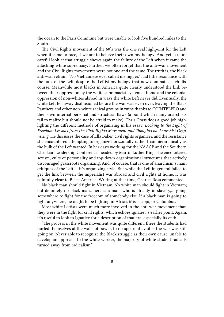the ocean to the Paris Commune but were unable to look five hundred miles to the South…

The Civil Rights movement of the 60's was the one real highpoint for the Left when it came to race, if we are to believe their own mythology. And yet, a more careful look at that struggle shows again the failure of the Left when it came the attacking white supremacy. Further, we often forget that the anti-war movement and the Civil Rights movements were not one and the same. The truth is, the black anti-war refrain, "No Vietnamese ever called me nigger," had little resonance with the bulk of the Left, despite the Leftist mythology that now dominates such discourse. Meanwhile most blacks in America quite clearly understood the link between their oppression by the white supremacist system at home and the colonial oppression of non-whites abroad in ways the white Left never did. Eventually, the white Left fell away disillusioned before the war was even over, leaving the Black Panthers and other non-white radical groups in ruins thanks to COINTELPRO and their own internal personal and structural flaws (a point which many anarchists fail to realize but should not be afraid to make). Chris Crass does a good job highlighting the different methods of organizing in his essay, *Looking to the Light of Freedom: Lessons from the Civil Rights Movement and Thoughts on Anarchist Organizing*. He discusses the case of Ella Baker, civil rights organizer, and the resistance she encountered attempting to organize horizontally rather than hierarchically as the bulk of the Left wanted. In her days working for the NAACP and the Southern Christian Leadership Conference, headed by Martin Luther King, she encountered sexism, cults of personality and top-down organizational structures that actively discouraged grassroots organizing. And, of course, that is one of anarchism's main critiques of the Left  $-$  it's organizing style. But while the Left in general failed to get the link between the imperialist war abroad and civil rights at home, it was painfully clear to Black America. Writing at that time, Charles Ross commented,

No black man should fight in Vietnam. No white man should fight in Vietnam; but definitely no black man.. here is a man, who is already in slavery,… going somewhere to fight for the freedom of somebody else. If a black man is going to fight anywhere, he ought to be fighting in Africa, Mississippi, or Columbus.

Most white Leftists were much more involved in the anti-war movement than they were in the fight for civil rights, which echoes Ignatiev's earlier point. Again, it's useful to look to Ignatiev for a description of that era, especially its end:

"The process in the white movement was quite different: there the students had hurled themselves at the walls of power, to no apparent avail — the war was still going on. Never able to recognize the Black struggle as their own cause, unable to develop an approach to the white worker, the majority of white student radicals turned away from radicalism."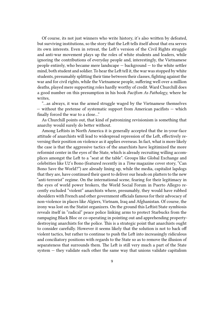Of course, its not just winners who write history, it's also written by defeated, but surviving institutions, so the story that the Left tells itself about that era serves its own interests. Even in retreat, the Left's version of the Civil Rights struggle and anti-war movement plays up the roles of white students and leaders, while ignoring the contributions of everyday people and, interestingly, the Vietnamese people entirely, who became mere landscape — background — to the white settler mind, both student and soldier. To hear the Left tell it, the war was stopped by white students, presumably splitting their time between their classes, fighting against the war and for civil rights, while the Vietnamese people, suffering well over a million deaths, played mere supporting roles hardly worthy of credit. Ward Churchill does a good number on this presumption in his book *Pacifism As Pathology*, where he writes,

"…as always, it was the armed struggle waged by the Vietnamese themselves  $-$  without the pretense of systematic support from American pacifists  $-$  which finally forced the war to a close…"

As Churchill points out, that kind of patronizing revisionism is something that anarchy would surely do better without.

Among Leftists in North America it is generally accepted that the in-your-face attitude of anarchists will lead to widespread repression of the Left, effectively reversing their position on violence as it applies overseas. In fact, what is more likely the case is that the aggressive tactics of the anarchists have legitimized the more reformist center in the eyes of the State, which is already recruiting willing accomplices amongst the Left to a "seat at the table". Groups like Global Exchange and celebrities like U2's Bono (featured recently in a *Time* magazine cover story, "Can Bono Save the World?") are already lining up, while the media, capitalist lapdogs that they are, have continued their quest to deliver our heads on platters to the new "anti-terrorist" regime. On the international scene, fearing for their legitimacy in the eyes of world power brokers, the World Social Forum in Puerto Allegro recently excluded "violent" anarchists where, presumably, they would have rubbed shoulders with French and other government officials famous for their advocacy of non-violence in places like Algiers, Vietnam, Iraq and Afghanistan. Of course, the irony was lost on the Statist organizers. On the ground this Leftist/State symbiosis reveals itself in "radical" peace police linking arms to protect Starbucks from the rampaging Black Bloc or co-operating in pointing out and apprehending propertydestroying anarchists for the police. This is a strategic point that anarchists ought to consider carefully. However it seems likely that the solution is not to back off violent tactics, but rather to continue to push the Left into increasingly ridiculous and conciliatory positions with regards to the State so as to remove the illusion of separateness that surrounds them. The Left is still very much a part of the State system — they validate each other the same way that unions validate capitalism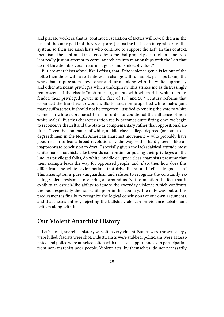and placate workers; that is, continued escalation of tactics will reveal them as the peas of the same pod that they really are. Just as the Left is an integral part of the system, so then are anarchists who continue to support the Left. In this context, then, isn't the continued insistence by some that property destruction is not violent really just an attempt to corral anarchists into relationships with the Left that do not threaten its overall reformist goals and bankrupt values?

But are anarchists afraid, like Leftists, that if the violence genie is let out of the bottle then those with a real interest in change will run amok, perhaps taking the whole bankrupt system down once and for all, along with the white supremacy and other attendant privileges which underpin it? This strikes me as distressingly reminiscent of the classic "mob rule" arguments with which rich white men defended their privileged power in the face of  $19<sup>th</sup>$  and  $20<sup>th</sup>$  Century reforms that expanded the franchise to women, Blacks and non-propertied white males (and many suffragettes, it should not be forgotten, justified extending the vote to white women in white supremacist terms in order to counteract the influence of nonwhite males). But this characterization really becomes quite fitting once we begin to reconceive the Left and the State as complementary rather than oppositional entities. Given the dominance of white, middle-class, college-degreed (or soon-to-be degreed) men in the North American anarchist movement — who probably have good reason to fear a broad revolution, by the way — this hardly seems like an inappropriate conclusion to draw. Especially given the lackadaisical attitude most white, male anarchists take towards confronting or putting their privileges on the line. As privileged folks, do white, middle or upper class anarchists presume that their example leads the way for oppressed people, and, if so, then how does this differ from the white savior notions that drive liberal and Leftist do-good-ism? This assumption is pure vanguardism and refuses to recognize the constantly existing violent resistance occurring all around us. Not to mention the fact that it exhibits an ostrich-like ability to ignore the everyday violence which confronts the poor, especially the non-white poor in this country. The only way out of this predicament is finally to recognize the logical conclusions of our own arguments, and that means entirely rejecting the bullshit violence/non-violence debate, and Leftism along with it.

#### <span id="page-9-0"></span>**Our Violent Anarchist History**

Let's face it, anarchist history was often very violent. Bombs were thrown, clergy were killed, fascists were shot, industrialists were stabbed, politicians were assassinated and police were attacked, often with massive support and even participation from non-anarchist poor people. Violent acts, by themselves, do not necessarily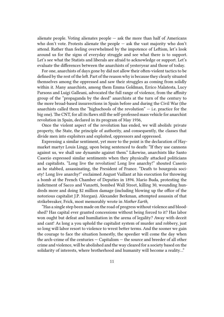alienate people. Voting alienates people  $-$  ask the more than half of Americans who don't vote. Protests alienate the people — ask the vast majority who don't attend. Rather than feeling overwhelmed by the impotence of Leftism, let's look around us for the signs of everyday struggle and see what there is to support. Let's see what the Statists and liberals are afraid to acknowledge or support. Let's evaluate the differences between the anarchists of yesteryear and those of today.

For one, anarchists of days gone by did not allow their often-violent tactics to be defined by the rest of the left. Part of the reason why is because they clearly situated themselves among the oppressed and saw their struggles as coming from solidly within it. Many anarchists, among them Emma Goldman, Errico Malatesta, Lucy Parsons and Luigi Galleani, advocated the full range of violence, from the affinity group of the "propaganda by the deed" anarchists at the turn of the century to the more broad-based insurrections in Spain before and during the Civil War (the anarchists called them the "highschools of the revolution"  $-$  i.e. practice for the big one). The CNT, for all its flaws still the self-professed mass vehicle for anarchist revolution in Spain, declared in its program of May 1936,

Once the violent aspect of the revolution has ended, we will abolish: private property, the State, the principle of authority, and consequently, the classes that divide men into exploiters and exploited, oppressors and oppressed.

Expressing a similar sentiment, yet more to the point is the declaration of Haymarket martyr Louis Lingg, upon being sentenced to death: "If they use cannons against us, we shall use dynamite against them." Likewise, anarchists like Santo Caserio expressed similar sentiments when they physically attacked politicians and capitalists. "Long live the revolution! Long live anarchy!" shouted Caserio as he stabbed, assassinating, the President of France. "Death to bourgeois society! Long live anarchy!" exclaimed August Vaillant at his execution for throwing a bomb at the French Chamber of Deputies in 1894. Mario Buda, protesting the indictment of Sacco and Vanzetti, bombed Wall Street, killing 30, wounding hundreds more and doing \$2 million damage (including blowing up the office of the notorious capitalist J.P. Morgan). Alexander Berkman, attempted assassin of that strikebreaker, Frick, most memorably wrote in *Mother Earth*,

"Has a single step been made on the road of progress without violence and bloodshed? Has capital ever granted concessions without being forced to it? Has labor won ought but defeat and humiliation in the arena of legality? Away with deceit and cant! As long a you uphold the capitalist system of murder and robbery, just so long will labor resort to violence to wrest better terms. And the sooner we gain the courage to face the situation honestly, the speedier will come the day when the arch-crime of the centuries — Capitalism — the source and breeder of all other crime and violence, will be abolished and the way cleared for a society based on the solidarity of interests, where brotherhood and humanity will become a reality…"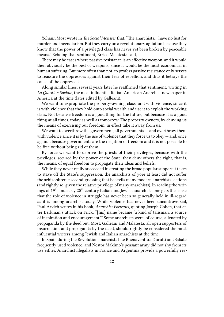Yohann Most wrote in *The Social Monster* that, "The anarchists… have no lust for murder and incendiarism. But they carry on a revolutionary agitation because they know that the power of a privileged class has never yet been broken by peaceable means." Echoing that sentiment, Errico Malatesta said,

There may be cases where passive resistance is an effective weapon, and it would then obviously be the best of weapons, since it would be the most economical in human suffering. But more often than not, to profess passive resistance only serves to reassure the oppressors against their fear of rebellion, and thus it betrays the cause of the oppressed.

Along similar lines, several years later he reaffirmed that sentiment, writing in *La Question Sociale*, the most influential Italian-American Anarchist newspaper in America at the time (later edited by Galleani),

We want to expropriate the property-owning class, and with violence, since it is with violence that they hold onto social wealth and use it to exploit the working class. Not because freedom is a good thing for the future, but because it is a good thing at all times, today as well as tomorrow. The property owners, by denying us the means of exercising our freedom, in effect take it away from us.

We want to overthrow the government, all governments – and overthrow them with violence since it is by the use of violence that they force us to obey  $-$  and, once again… because governments are the negation of freedom and it is not possible to be free without being rid of them.

By force we want to deprive the priests of their privileges, because with the privileges, secured by the power of the State, they deny others the right, that is, the means, of equal freedom to propagate their ideas and beliefs.

While they never really succeeded in creating the broad popular support it takes to stave off the State's suppression, the anarchists of yore at least did not suffer the schizophrenic second-guessing that bedevils many modern anarchists' actions (and rightly so, given the relative privilege of many anarchists). In reading the writings of  $19<sup>th</sup>$  and early  $20<sup>th</sup>$  century Italian and Jewish anarchists one gets the sense that the role of violence in struggle has never been so generally held in ill-regard as it is among anarchist today. While violence has never been uncontroversial, Paul Arvich writes in his book, *Anarchist Portraits*, quoting Joseph Cohen, that after Berkman's attack on Frick, "[his] name became 'a kind of talisman, a source of inspiration and encouragement.'" Some anarchists were, of course, alienated by propaganda by the deed but, Most, Galleani and Malatesta, all open supporters of insurrection and propaganda by the deed, should rightly be considered the most influential writers among Jewish and Italian anarchists at the time.

In Spain during the Revolution anarchists like Buenaventura Durutti and Sabate frequently used violence, and Nestor Makhno's peasant army did not shy from its use either. Anarchist illegalists in France and Argentina provide a powerfully rev-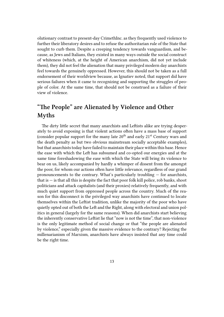olutionary contrast to present-day CrimethInc. as they frequently used violence to further their liberatory desires and to refuse the authoritarian rule of the State that sought to curb them. Despite a creeping tendency towards vanguardism, and because, as Jews and Italians, they existed in many ways outside the social construct of whiteness (which, at the height of American anarchism, did not yet include them), they did not feel the alienation that many privileged modern day anarchists feel towards the genuinely oppressed. However, this should not be taken as a full endorsement of their worldview because, as Ignatiev noted, that support did have serious failures when it came to recognizing and supporting the struggles of people of color. At the same time, that should not be construed as a failure of their view of violence.

### **"The People" are Alienated by Violence and Other Myths**

The dirty little secret that many anarchists and Leftists alike are trying desperately to avoid exposing is that violent actions often have a mass base of support (consider popular support for the many late  $20<sup>th</sup>$  and early  $21<sup>st</sup>$  Century wars and the death penalty as but two obvious mainstream socially acceptable examples), but that anarchists today have failed to maintain their place within this base. Hence the ease with which the Left has subsumed and co-opted our energies and at the same time foreshadowing the ease with which the State will bring its violence to bear on us, likely accompanied by hardly a whimper of dissent from the amongst the poor, for whom our actions often have little relevance, regardless of our grand pronouncements to the contrary. What's particularly troubling — for anarchists, that is  $-$  is that all this is despite the fact that poor folk kill police, rob banks, shoot politicians and attack capitalists (and their proxies) relatively frequently, and with much quiet support from oppressed people across the country. Much of the reason for this disconnect is the privileged way anarchists have continued to locate themselves within the Leftist tradition, unlike the majority of the poor who have quietly opted out of both the Left and the Right, along with electoral and union politics in general (largely for the same reasons). When did anarchists start believing the inherently conservative Leftist lie that "now is not the time", that non-violence is the only legitimate method of social change or that "the people are alienated by violence," especially given the massive evidence to the contrary? Rejecting the millenarianism of Marxism, anarchists have always insisted that any time could be the right time.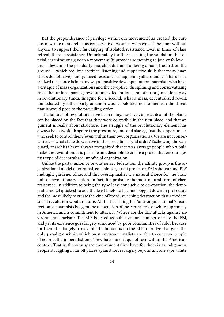But the preponderance of privilege within our movement has created the curious new role of anarchist as conservative. As such, we have left the poor without anyone to support their far-ranging, if isolated, resistance. Even in times of class retreat, there is resistance. Unfortunately for those seeking the validation that official organizations give to a movement (it provides something to join or follow thus alleviating the peculiarly anarchist dilemma of being among the first on the ground — which requires sacrifice, listening and supportive skills that many anarchists do not have), unorganized resistance is happening all around us. This decentralized resistance is in many ways a positive development for anarchists who have a critique of mass organizations and the co-optive, disciplining and conservatizing roles that unions, parties, revolutionary federations and other organizations play in revolutionary times. Imagine for a second, what a mass, decentralized revolt, unmediated by either party or union would look like, not to mention the threat that it would pose to the prevailing order.

The failures of revolutions have been many, however, a great deal of the blame can be placed on the fact that they were co-optible in the first place, and that argument is really about structure. The struggle of the revolutionary element has always been twofold: against the present regime and also against the opportunists who seek to control them (even within their own organizations). We are not conservatives — what stake do we have in the prevailing social order? Eschewing the vanguard, anarchists have always recognized that it was average people who would make the revolution. It is possible and desirable to create a praxis that encourages this type of decentralized, unofficial organization.

Unlike the party, union or revolutionary federation, the affinity group is the organizational model of criminal, conspirator, street protestor, FAI saboteur and ELF midnight gardener alike, and this overlap makes it a natural choice for the basic unit of revolutionary action. In fact, it's probably the most natural form of class resistance, in addition to being the type least conducive to co-optation, the democratic model quickest to act, the least likely to become bogged down in procedure and the most likely to create the kind of broad, sweeping destruction that a modern social revolution would require. All that's lacking for "anti-organizational"/insurrectionist anarchists is a genuine recognition of the central role of white supremacy in America and a commitment to attack it. Where are the ELF attacks against environmental racism? The ELF is listed as public enemy number one by the FBI, and yet its existence goes largely unnoticed by poor communities of color because for them it is largely irrelevant. The burden is on the ELF to bridge that gap. The only paradigm within which most environmentalists are able to conceive people of color is the imperialist one. They have no critique of race within the American context. That is, the only space environmentalists have for them is as indigenous people struggling in far off places against forces largely beyond anyone's (re: white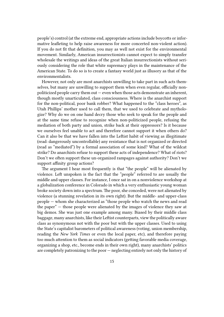people's) control (at the extreme end, appropriate actions include boycotts or informative leafleting to help raise awareness for more concerted non-violent action). If you do not fit that definition, you may as well not exist for the environmental movement. Similarly, American insurrectionists cannot expect to simply transfer wholesale the writings and ideas of the great Italian insurrectionists without seriously considering the role that white supremacy plays in the maintenance of the American State. To do so is to create a fantasy world just as illusory as that of the environmentalists.

However, not only are most anarchists unwilling to take part in such acts themselves, but many are unwilling to support them when even regular, officially nonpoliticized people carry them out — even when those acts demonstrate an inherent, though mostly unarticulated, class consciousness. Where is the anarchist support for the non-political, poor bank robber? What happened to the "class heroes", as Utah Phillips' mother used to call them, that we used to celebrate and mythologize? Why do we on one hand decry those who seek to speak for the people and at the same time refuse to recognize when non-politicized people, refusing the mediation of both party and union, strike back at their oppressors? Is it because we ourselves feel unable to act and therefore cannot support it when others do? Can it also be that we have fallen into the Leftist habit of viewing as illegitimate (read: dangerously uncontrollable) any resistance that is not organized or directed (read as "mediated") by a formal association of some kind? What of the wildcat strike? Do anarchists refuse to support these acts of independence? What of riots? Don't we often support these un-organized rampages against authority? Don't we support affinity group actions?

The argument I hear most frequently is that "the people" will be alienated by violence. Left unspoken is the fact that the "people" referred to are usually the middle and upper classes. For instance, I once sat in on a nonviolence workshop at a globalization conference in Colorado in which a very enthusiastic young woman broke society down into a spectrum. The poor, she conceded, were not alienated by violence (a stunning revelation in its own right). But the middle- and upper-class people — whom she characterized as "those people who watch the news and read the paper" — those people were alienated by the images of violence they saw at big demos. She was just one example among many. Biased by their middle class baggage, many anarchists, like their Leftist counterparts, view the politically aware class as synonymous not with the poor but with the upper classes. Used to using the State's capitalist barometers of political awareness (voting, union membership, reading the *New York Times* or even the local paper, etc), and therefore paying too much attention to them as social indicators (getting favorable media coverage, organizing a shop, etc., become ends in their own right), many anarchists' politics are completely patronizing to the poor — neglecting entirely not only the history of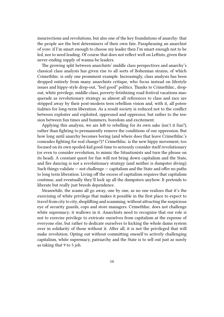insurrections and revolutions, but also one of the key foundations of anarchy: that the people are the best determiners of their own fate. Paraphrasing an anarchist of yore: if I'm smart enough to choose my leader then I'm smart enough not to be led, nor to need leading. Of course that does not reflect well on Leftists, given their never-ending supply of wanna-be leaders.

The growing split between anarchists' middle class perspectives and anarchy's classical class analysis has given rise to all sorts of Bohemian strains, of which CrimethInc. is only one prominent example. Increasingly, class analysis has been dropped entirely from many anarchists critique, who focus instead on lifestyle issues and hippy-style drop-out, "feel good" politics. Thanks to CrimethInc., dropout, white privilege, middle-class, poverty-fetishizing road festival vacations masquerade as revolutionary strategy as almost all references to class and race are stripped away by their post-modern teen rebellion vision and, with it, all potentialities for long-term liberation. As a result society is reduced not to the conflict between exploiter and exploited, oppressed and oppressor, but rather to the tension between fun times and bummers, boredom and excitement.

Applying this analysis, we are left to rebelling for its own sake (isn't it fun?), rather than fighting to permanently remove the conditions of our oppression. But how long until anarchy becomes boring (and where does that leave CrimethInc.'s comrades fighting for real change?)? CrimethInc. is the new hippy movement, too focused on its own spoiled-kid good-time to seriously consider itself revolutionary (or even to consider revolution, to mimic the Situationists and turn the phrase on its head). A constant quest for fun will not bring down capitalism and the State, and fire dancing is not a revolutionary strategy (and neither is dumpster diving). Such things validate — not challenge — capitalism and the State and offer no paths to long term liberation. Living off the excess of capitalism requires that capitalism continue, and eventually they'll lock up all the dumpsters anyhow. It pretends to liberate but really just breeds dependence.

Meanwhile, the scams all go away, one by one, as no one realizes that it's the exercising of white privilege that makes it possible in the first place to expect to travel from city to city, shoplifting and scamming, without attracting the suspicious eye of security guards, cops and store managers. CrimethInc. does not challenge white supremacy; it wallows in it. Anarchists need to recognize that our role is not to exercise privilege to extricate ourselves from capitalism at the expense of everyone else, but rather to dedicate ourselves to kicking the whole damn system over in solidarity of those without it. After all, it is not the privileged that will make revolution. Opting out without committing oneself to actively challenging capitalism, white supremacy, patriarchy and the State is to sell out just as surely as taking that 9 to 5 job.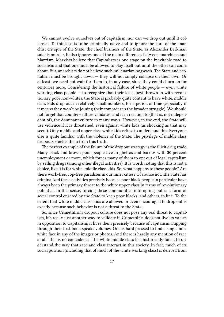We cannot evolve ourselves out of capitalism, nor can we drop out until it collapses. To think so is to be criminally naive and to ignore the core of the anarchist critique of the State: the chief business of the State, as Alexander Berkman said, is murder. It also ignores one of the main differences between anarchism and Marxism. Marxists believe that Capitalism is one stage on the inevitable road to socialism and that one must be allowed to play itself out until the other can come about. But, anarchists do not believe such millenarian hogwash. The State and capitalism must be brought down — they will not simply collapse on their own. Or at least, we need not wait for them to, in any case, since they could churn on for centuries more. Considering the historical failure of white people — even white working class people  $-$  to recognize that their lot is best thrown in with revolutionary poor non-whites, the State is probably quite content to have white, middle class kids drop out in relatively small numbers, for a period of time (especially if it means they won't be joining their comrades in the broader struggle). We should not forget that counter-culture validates, and is in reaction to (that is, not independent of), the dominant culture in many ways. However, in the end, the State will use violence if it is threatened, even against white kids (as shocking as that may seem). Only middle and upper class white kids refuse to understand this. Everyone else is quite familiar with the violence of the State. The privilege of middle class dropouts shields them from this truth.

The perfect example of the failure of the dropout strategy is the illicit drug trade. Many black and brown poor people live in ghettos and barrios with 30 percent unemployment or more, which forces many of them to opt out of legal capitalism by selling drugs (among other illegal activities). It is worth noting that this is not a choice, like it is for white, middle class kids. So, what happens to these people? Are there work-free, cop-free paradises in our inner cities? Of course not. The State has criminalized these activities precisely because poor black people in particular have always been the primary threat to the white upper class in terms of revolutionary potential. In this sense, forcing these communities into opting out is a form of social control enacted by the State to keep poor blacks, and others, in line. To the extent that white middle class kids are allowed or even encouraged to drop out is exactly because such behavior is not a threat to the State.

So, since CrimethInc.'s dropout culture does not pose any real threat to capitalism, it's really just another way to validate it. CrimethInc. does not live its values in opposition to Capitalism; it lives them precisely because of capitalism. Flipping through their first book speaks volumes. One is hard pressed to find a single nonwhite face in any of the images or photos. And there is hardly any mention of race at all. This is no coincidence. The white middle class has historically failed to understand the way that race and class interact in this society. In fact, much of its social position (including that of much of the white working class) is derived from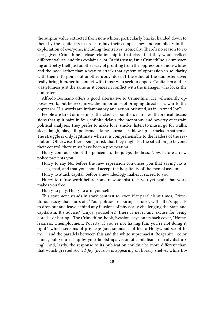the surplus value extracted from non-whites, particularly blacks, handed down to them by the capitalists in order to buy their complacency and complicity in the exploitation of everyone, including themselves, ironically. There's no reason to expect, given CrimethInc.'s close relationship to that class, that they would reflect different values, and this explains a lot. In this sense, isn't CrimethInc.'s dumpstering and petty theft just another way of profiting from the oppression of non-whites and the poor rather than a way to attack that system of oppression in solidarity with them? To point out another irony, doesn't the ethic of the dumpster diver really bring him/her in conflict with those who seek to oppose Capitalism and its wastefulness just the same as it comes in conflict with the manager who locks the dumpster?

Alfredo Bonnano offers a good alternative to CrimethInc. He vehemently opposes work, but he recognizes the importance of bringing direct class war to the oppressor. His words are inflammatory and action-oriented, as in "Armed Joy":

People are tired of meetings, the classics, pointless marches, theoretical discussions that split hairs in four, infinite delays, the monotony and poverty of certain political analyses. They prefer to make love, smoke, listen to music, go for walks, sleep, laugh, play, kill policemen, lame journalists, blow up barracks. Anathema! The struggle is only legitimate when it is comprehensible to the leaders of the revolution. Otherwise, there being a risk that they might let the situation go beyond their control, there must have been a provocation.

Hurry comrade, shoot the policeman, the judge, the boss. Now, before a new police prevents you.

Hurry to say No, before the new repression convinces you that saying no is useless, mad, and that you should accept the hospitality of the mental asylum.

Hurry to attack capital, before a new ideology makes it sacred to you.

Hurry to refuse work before some new sophist tells you yet again that work makes you free.

Hurry to play. Hurry to arm yourself.

This statement stands in stark contrast to, even if it parallels at times, CrimethInc.'s essay that starts off, "Your politics are boring as fuck", with all it's appeals to drop out and leave behind any illusions of physically challenging the State and capitalism. It's advice? "Enjoy yourselves! There is never any excuse for being bored… or boring!" The CrimethInc. book, Evasion, says on its back cover, "Homelessness. Unemployment. Poverty. If you're not having fun, you're not doing it right", which screams of privilege (and sounds a lot like a Hollywood script to me — and the parallels between this and the white supremacist, Reaganite, "color blind", pull-yourself-up-by-your-bootstraps vision of capitalism are truly disturbing). And, lastly, the response to its publication couldn't be more different than that which greeted *Armed Joy* (*Evasion* is appearing on library shelves while Bo-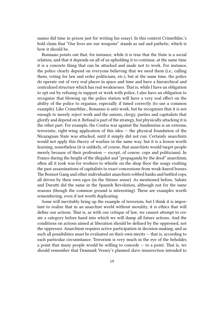nanno did time in prison just for writing his essay). In this context CrimethInc.'s bold claim that "Our lives are our weapons" stands as sad and pathetic, which is how it should be.

Bonnano points out that, for instance, while it is true that the State is a social relation, and that it depends on all of us upholding it to continue, at the same time it is a concrete thing that can be attacked and made not to work. For instance, the police clearly depend on everyone believing that we need them (i.e., calling them, voting for law and order politicians, etc.), but at the same time, the police do operate out of very real places in space and time and have a hierarchical and centralized structure which has real weaknesses. That is, while I have an obligation to opt out by refusing to support or work with police, I also have an obligation to recognize that blowing up the police station will have a very real effect on the ability of the police to organize, especially if timed correctly (to use a common example). Like CrimethInc., Bonanno is anti-work, but he recognizes that it is not enough to merely reject work and the unions, clergy, parties and capitalists that glorify and depend on it. Refusal is part of the strategy, but physically attacking it is the other part. For example, the Contra war against the Sandinistas is an extreme, terroristic, right-wing application of this idea — the physical foundation of the Nicaraguan State was attacked, until it simply did not run. Certainly anarchists would not apply this theory of warfare in the same way, but it is a lesson worth learning, nonetheless (it is unlikely, of course, that anarchists would target people merely because of their profession — except, of course, cops and politicians). In France during the height of the illegalist and "propaganda by the deed" anarchism, often all it took was for workers to whistle on the shop floor the songs exalting the past assassinations of capitalists to exact concessions from weak-kneed bosses. The Bonnot Gang and other individualist anarchists robbed banks and battled cops, all driven by their own egos (in the Stirner sense). As mentioned before, Sabate and Durutti did the same in the Spanish Revolution, although not for the same reasons (though the common ground is interesting). These are examples worth remembering, even if not worth duplicating.

Some will inevitably bring up the example of terrorism, but I think it is important to realize that in an anarchist world without morality, it is ethics that will define our actions. That is, as with our critique of law, we cannot attempt to create a category before hand into which we will dump all future actions. And the conditions on actions aimed at liberation should be defined by the oppressed, not the oppressor. Anarchism requires active participation in decision-making, and as such all possibilities must be evaluated on their own merits — that is, according to each particular circumstance. Terrorism is very much in the eye of the beholder, a point that many people would be willing to concede  $-$  to a point. That is, we should remember that Denmark Vessey's planned slave insurrection intended to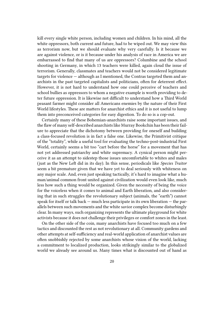kill every single white person, including women and children. In his mind, all the white oppressors, both current and future, had to be wiped out. We may view this as terrorism now, but we should evaluate why very carefully. Is it because we are against violence, or is it because under his analysis of race in America we are embarrassed to find that many of us are oppressors? Columbine and the school shooting in Germany, in which 13 teachers were killed, again cloud the issue of terrorism. Generally, classmates and teachers would not be considered legitimate targets for violence — although as I mentioned, the Contras targeted them and anarchists in the past targeted capitalists and politicians, often for deterrent effect. However, it is not hard to understand how one could perceive of teachers and school bullies as oppressors to whom a negative example is worth providing to deter future oppression. It is likewise not difficult to understand how a Third World peasant farmer might consider all Americans enemies by the nature of their First World lifestyles. These are matters for anarchist ethics and it is not useful to lump them into preconceived categories for easy digestion. To do so is a cop-out.

Certainly many of these Bohemian-anarchists raise some important issues, and the flaw of many self-described anarchists like Murray Bookchin has been their failure to appreciate that the dichotomy between providing for oneself and building a class-focused revolution is in fact a false one. Likewise, the Primitivist critique of the "totality", while a useful tool for evaluating the techno-post-industrial First World, certainly seems a bit too "cart before the horse" for a movement that has not yet addressed patriarchy and white supremacy. A cynical person might perceive it as an attempt to sidestep those issues uncomfortable to whites and males (just as the New Left did in its day). In this sense, periodicals like *Species Traitor* seem a bit premature given that we have yet to deal seriously with whiteness on any major scale. And, even just speaking tactically, it's hard to imagine what a human/animal common front united against civilization would even look like, much less how such a thing would be organized. Given the necessity of being the voice for the voiceless when it comes to animal and Earth liberation, and also considering that in such struggles the revolutionary subject (animals, the "earth") cannot speak for itself or talk back — much less participate in its own liberation — the parallels between such movements and the white savior complex become disturbingly clear. In many ways, such organizing represents the ultimate playground for white activists because it does not challenge their privileges or comfort zones in the least.

On the other side of the coin, many anarchists have focused too much on a few tactics and discounted the rest as not revolutionary at all. Community gardens and other attempts at self-sufficiency and real-world application of anarchist values are often snobbishly rejected by some anarchists whose vision of the world, lacking a commitment to localized production, looks strikingly similar to the globalized world we already see around us. Many times what is discounted out of hand as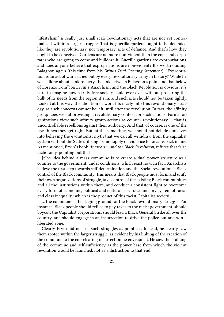"lifestylism" is really just small scale revolutionary acts that are not yet contectualized within a larger struggle. That is, guerilla gardens ought to be defended like they are revolutionary, not temporary, acts of defiance. And that's how they ought to be conceived. Gardens are no more non-violent than the cops and corporates who are going to come and bulldoze it. Guerilla gardens are expropriations, and does anyone believe that expropriations are non-violent? It's worth quoting Balagoon again (this time from his *Brinks Trial Opening Statement*): "Expropriation is an act of war carried out by every revolutionary army in history." While he was talking about bank robbery, the link between Balagoon's point and that below of Lorenzo Kom'boa Ervin's Anarchism and the Black Revolution is obvious; it's hard to imagine how a truly free society could ever exist without procuring the bulk of its needs from the region it's in, and such acts should not be taken lightly. Looked at this way, the abolition of work fits nicely into this revolutionary strategy, as such concerns cannot be left until after the revolution. In fact, the affinity group does well at providing a revolutionary context for such actions. Formal organizations view such affinity group actions as counter-revolutionary  $-$  that is, uncontrollable rebellions against their authority. And that, of course, is one of the few things they get right. But, at the same time, we should not delude ourselves into believing the evolutionist myth that we can all withdraw from the capitalist system without the State utilizing its monopoly on violence to force us back in line. As mentioned, Ervin's book *Anarchism and the Black Revolution*, refutes that false dichotomy, pointing out that

[t]he idea behind a mass commune is to create a dual power structure as a counter to the government, under conditions, which exist now. In fact, Anarchists believe the first step towards self-determination and the Social revolution is Black control of the Black community. This means that Black people must form and unify their own organizations of struggle, take control of the existing Black communities and all the institutions within them, and conduct a consistent fight to overcome every form of economic, political and cultural servitude, and any system of racial and class inequality which is the product of this racist Capitalist society…

…The commune is the staging ground for the Black revolutionary struggle. For instance, Black people should refuse to pay taxes to the racist government, should boycott the Capitalist corporations, should lead a Black General Strike all over the country, and should engage in an insurrection to drive the police out and win a liberated zone.

Clearly Ervin did not see such struggles as pointless. Instead, he clearly saw them rooted within the larger struggle, as evident by his linking of the creation of the commune to the cop-clearing insurrection he envisioned. He saw the building of the commune and self-sufficiency as the power base from which the violent revolution would be launched, not as a distraction to that end.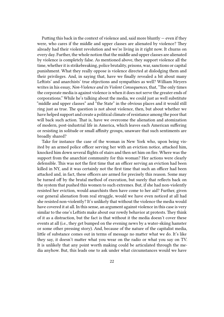Putting this back in the context of violence and, said more bluntly  $-$  even if they were, who cares if the middle and upper classes are alienated by violence? They already had their violent revolution and we're living in it right now. It churns on every day. Further, the whole notion that the middle and upper classes are alienated by violence is completely false. As mentioned above, they support violence all the time, whether it is strikebreaking, police brutality, prisons, war, sanctions or capital punishment. What they really oppose is violence directed at dislodging them and their privileges. And, in saying that, have we finally revealed a bit about many Leftists' and anarchists' true objections and sympathies as well? William Meyers writes in his essay, *Non-Violence and its Violent Consequences*, that, "The only times the corporate media is against violence is when it does not serve the greater ends of corporations." While he's talking about the media, we could just as well substitute "middle and upper classes" and "the State" in the obvious places and it would still ring just as true. The question is not about violence, then, but about whether we have helped support and create a political climate of resistance among the poor that will back such action. That is, have we overcome the alienation and atomization of modern, post-industrial life in America, which leaves each American suffering or resisting in solitude or small affinity groups, unaware that such sentiments are broadly shared?

Take for instance the case of the woman in New York who, upon being visited by an armed police officer serving her with an eviction notice, attacked him, knocked him down several flights of stairs and then set him on fire. Where was the support from the anarchist community for this woman? Her actions were clearly defensible. This was not the first time that an officer serving an eviction had been killed in NY, and it was certainly not the first time that such an officer had been attacked and, in fact, these officers are armed for precisely this reason. Some may be turned off by the brutal method of execution, but surely that reflects back on the system that pushed this women to such extremes. But, if she had non-violently resisted her eviction, would anarchists then have come to her aid? Further, given our general alienation from real struggle, would we have even noticed at all had she resisted non-violently? It's unlikely that without the violence the media would have covered it at all. In this sense, an argument against violence in this case is very similar to the one's Leftists make about our rowdy behavior at protests. They think of it as a distraction, but the fact is that without it the media doesn't cover these events at all (i.e., they get bumped on the evening news by a water-skiing hamster or some other pressing story). And, because of the nature of the capitalist media, little of substance comes out in terms of message no matter what we do. It's like they say, it doesn't matter what you wear on the radio or what you say on TV. It is unlikely that any point worth making could be articulated through the media anyhow. But, this leads one to ask under what circumstances would we have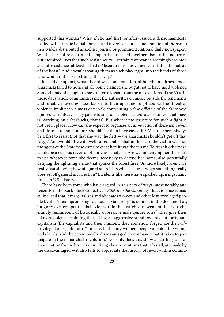supported this woman? What if she had first (or after) issued a dense manifesto loaded with archaic Leftist phrases and invectives (or a condemnation of the same) in a widely distributed anarchist journal or prominent national daily newspaper? What if her entire apartment complex had resisted together? Isn't it the nature of our atomized lives that such resistance will certainly appear as seemingly isolated acts of resistance, at least at first? Absent a mass movement, isn't this the nature of the beast? And doesn't treating them as such play right into the hands of those who would rather keep things that way?

Instead of support, what I heard was condemnation, although, in fairness, most anarchists failed to notice at all. Some claimed she ought not to have used violence. Some claimed she ought to have taken a lesson from the un-evictions of the 30's. In those days whole communities met the authorities en masse outside the tenements and forcibly moved evictees back into their apartments (of course, the threat of violence implicit in a mass of people confronting a few officials of the State was ignored, as it always is by pacifists and non-violence advocates — unless that mass is marching on a Starbucks, that is). But what if the structure for such a fight is not yet in place? How can she expect to organize an un-eviction if there isn't even an informal tenants union? Should she then have caved in? Mustn't there always be a first to resist (not that she was the first  $-$  we anarchists shouldn't get off that easy)? And wouldn't we do well to remember that in this case the victim was not the agent of the State who came to evict her: it was the tenant. To treat it otherwise would be a curious reversal of our class analysis. Are we, in denying her the right to use whatever force she deems necessary to defend her home, also potentially denying the lightning strike that sparks the forest fire? Or, more likely, aren't we really just showing how off guard anarchists will be caught when something really does set off general insurrection? Incidents like these have sparked uprisings many times in U.S. history.

There have been some who have argued in a variety of ways, most notably and recently in the Rock Block Collective's *Stick it to the Manarchy*, that violence is masculine, and that it marginalizes and alienates women and other less privileged people by it's "uncompromising" attitude. "Manarchy," is defined in the document as, "[a]ggressive, competitive behavior within the anarchist movement that is frighteningly reminiscent of historically oppressive male gender roles." They give their take on violence, claiming that taking an aggressive stand towards authority and capitalism (the capitalists and their minions, they somehow forget, are the *truly* privileged ones, after all), "…means that many women, people of color, the young and elderly, and the economically disadvantaged do not have what it takes to participate in the manarchist revolution." Not only does this show a startling lack of appreciation for the history of working class revolutions that, after all, are made by the disadvantaged  $-$  it also fails to appreciate the history of revolt within commu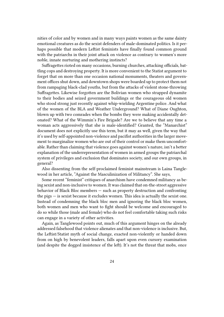nities of color and by women and in many ways paints women as the same dainty emotional creatures as do the sexist defenders of male-dominated politics. Is it perhaps possible that modern Leftist feminists have finally found common ground with the patriarchs in their joint attack on violence as contrary to women's more noble, innate nurturing and mothering instincts?

Suffragettes rioted on many occasions, burning churches, attacking officials, battling cops and destroying property. It is more convenient to the Statist argument to forget that on more than one occasion national monuments, theaters and government offices shut down, and downtown shops were boarded up to protect them not from rampaging black-clad youths, but from the attacks of violent stone-throwing Suffragettes. Likewise forgotten are the Bolivian women who strapped dynamite to their bodies and seized government buildings or the courageous old women who stood strong just recently against whip-wielding Argentine police. And what of the women of the BLA and Weather Underground? What of Diane Oughton, blown up with two comrades when the bombs they were making accidentally detonated? What of the Wimmin's Fire Brigade? Are we to believe that any time a woman acts aggressively that she is male-identified? Granted, the "Manarchist" document does not explicitly use this term, but it may as well, given the way that it's used by self-appointed non-violence and pacifist authorities in the larger movement to marginalize women who are out of their control or make them uncomfortable. Rather than claiming that violence goes against women's nature, isn't a better explanation of the underrepresentation of women in armed groups the patriarchal system of privileges and exclusion that dominates society, and our own groups, in general?

Also dissenting from the self-proclaimed feminist mainstream is Laina Tanglewood in her article, "Against the Masculinization of Militancy". She says,

Some recent "feminist" critiques of anarchism have condemned militancy as being sexist and non-inclusive to women. It was claimed that on-the-street aggressive behavior of Black Bloc members — such as property destruction and confronting the pigs — is sexist because it excludes women. This idea is actually the sexist one. Instead of condemning the black bloc men and ignoring the black bloc women, both women and men who want to fight should be welcome and encouraged to do so while those (male and female) who do not feel comfortable taking such risks can engage in a variety of other activities.

Again, as Tanglewood points out, much of this argument hinges on the already addressed falsehood that violence alienates and that non-violence is inclusive. But, the Leftist/Statist myth of social change, exacted non-violently or handed down from on high by benevolent leaders, falls apart upon even cursory examination (and despite the dogged insistence of the left). It's not the threat that mobs, once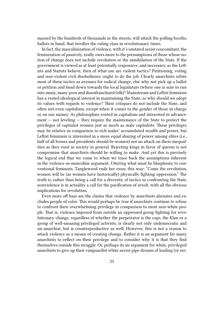massed by the hundreds of thousands in the streets, will attack the polling booths, ballots in hand, that terrifies the ruling class in revolutionary times.

In fact, the masculinization of violence, with it's unstated sexist concomitant, the feminization of passivity, really owes more to the presumptions of those whose notion of change does not include revolution or the annihilation of the State. If the government is viewed as at least potentially responsive, and necessary, as the Leftists and Statists believe, then of what use are violent tactics? Petitioning, voting and non-violent civil disobedience ought to do the job. Clearly anarchists refute most of these tactics as avenues for radical change, else why not pick up a ballot or petition and head down towards the local legislature (where one is sure to run into many, many poor and disenfranchised folk)? Mainstream and Leftist feminism has a vested ideological interest in maintaining the State, so why should we adopt its values with regards to violence? Their critiques do not include the State, and often not even capitalism, except when it comes to the gender of those in charge or on our money. As philosophies rooted in capitalism and interested in advance $ment - not leveling - they require the maintenance of the State to protect the$ privileges of capitalist women just as much as male capitalists. These privileges may be relative in comparison to rich males' accumulated wealth and power, but Leftist feminism is interested in a more equal sharing of power among elites (i.e., half of all bosses and presidents should be women) not an attack on these inequalities as they exist in society in general. Rejecting kings in favor of queens is not compromise that anarchists should be willing to make. And yet this is precisely the logical end that we come to when we trace back the assumptions inherent in the violence-as-masculine argument. Uttering what must be blasphemy to conventional feminists, Tanglewood ends her essay this way: "Come the revolution, women will be (as women have historically) physically fighting oppression." The truth is, rather than being a call for a diversity of tactics in confronting the State, nonviolence is in actuality a call for the pacification of revolt, with all the obvious implications for revolution.

Even more off base are the claims that violence by anarchists alienates and excludes people of color. This would perhaps be true if anarchists continue to refuse to confront their overwhelming privilege in comparison to most non-white people. That is, violence imposed from outside an oppressed group fighting for revolutionary change, regardless of whether the perpetrator is the cops, the Klan or a group of well-meaning privileged activists, is clearly not only undemocratic and un-anarchist, but is counterproductive as well. However, this is not a reason to attack violence as a means of creating change. Rather it is an argument for many anarchists to reflect on their privilege and to consider why it is that they find themselves outside this struggle. Or, perhaps its an argument for white, privileged anarchists to give up their vanguardist white savior pipe dreams of leading (or sav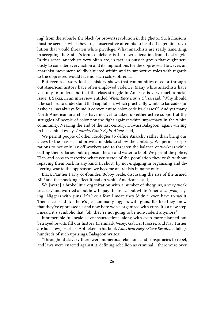ing) from the suburbs the black (or brown) revolution in the ghetto. Such illusions must be seen as what they are, conservative attempts to head off a genuine revolution that would threaten white privilege. What anarchists are really lamenting, in accepting the Statist's terms of debate, is their own alienation from the struggle. In this sense, anarchists very often are, in fact, an outside group that ought seriously to consider every action and its implications for the oppressed. However, an anarchist movement solidly situated within and in supportive roles with regards to the oppressed would face no such schizophrenia.

But even a cursory look at history shows that communities of color throughout American history have often employed violence. Many white anarchists have yet fully to understand that the class struggle in America is very much a racial issue. J. Sakai, in an interview entitled *When Race Burns Class*, said, "Why should it be so hard to understand that capitalism, which practically wants to barcode our assholes, has always found it convenient to color-code its classes?" And yet many North American anarchists have not yet to taken up either active support of the struggles of people of color nor the fight against white supremacy in the white community. Nearing the end of the last century, Kuwasi Balagoon, again writing in his seminal essay, *Anarchy Can't Fight Alone*, said,

We permit people of other ideologies to define Anarchy rather than bring our views to the masses and provide models to show the contrary. We permit corporations to not only lay off workers and to threaten the balance of workers while cutting their salaries, but to poison the air and water to boot. We permit the police, Klan and cops to terrorize whatever sector of the population they wish without repaying them back in any kind. In short, by not engaging in organizing and delivering war to the oppressors we become anarchists in name only.

Black Panther Party co-founder, Bobby Seale, discussing the rise of the armed BPP and the shocking effect it had on white Americans, said,

We [were] a broke little organization with a number of shotguns, a very weak treasury and worried about how to pay the rent… but white America… [was] saying, 'Niggers with guns.' It's like a fear. I mean they [didn't] even have to say it. Their faces said it: 'There's just too many niggers with guns.' It's like they know that they've oppressed us and now here we've organized with guns. It's a new step. I mean, it's symbolic that, 'oh, they're not going to be non-violent anymore.'

Innumerable full-scale slave insurrections, along with even more planned but betrayed revolts fill our history (Denmark Vesey, Gabriel Prosser, and Nat Turner are but a few). Herbert Aptheker, in his book *American Negro Slave Revolts*, catalogs hundreds of such uprisings. Balagoon writes:

"Throughout slavery there were numerous rebellions and conspiracies to rebel, and laws were enacted against it, defining rebellion as criminal… there were over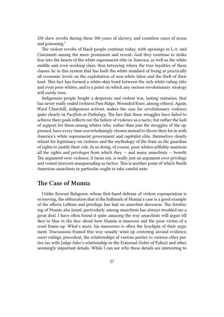250 slave revolts during these 300 years of slavery, and countless cases of arson and poisoning."

The violent revolts of black people continue today, with uprisings in L.A. and Cincinnati among the more prominent and recent. And they continue to strike fear into the hearts of the white supremacist elite in America, as well as the white middle and even working class, thus betraying where the true loyalties of these classes lie in this system that has built the white standard of living at practically all economic levels on the exploitation of non-white labor and the theft of their land. This fact has formed a white-skin bond between the rich white ruling elite and even poor whites, and is a point on which any serious revolutionary strategy will surely turn.

Indigenous people fought a desperate and violent war, lasting centuries, that has never really ended (witness Pine Ridge, Wounded Knee, among others). Again, Ward Churchill, indigenous activist, makes the case for revolutionary violence quite clearly in *Pacifism as Pathology*. The fact that these struggles have failed to achieve their goals reflects not the failure of violence as a tactic, but rather the lack of support for them among whites who, rather than join the struggles of the oppressed, have every time overwhelmingly chosen instead to throw their lot in with America's white supremacist government and capitalist elite, themselves clearly reliant for legitimacy on violence and the mythology of the State as the guardian of rights to justify their rule. In so doing, of course, poor whites selfishly maintain all the rights and privileges from which they  $-$  and many anarchists  $-$  benefit. The argument over violence, it turns out, is really just an argument over privilege and vested interests masquerading as tactics. This is another point of which North American anarchists in particular ought to take careful note.

#### **The Case of Mumia**

Unlike Kuwasi Balagoon, whose first-hand defense of violent expropriation is so moving, the obfuscation that is the hallmark of Mumia's case is a good example of the effects Leftism and privilege has had on anarchist discourse. The fetishizing of Mumia abu Jamal, particularly among anarchists has always troubled me a great deal. I have often found it quite amazing the way anarchists will argue till they're blue in the face about how Mumia is innocent and the poor victim of a cruel frame-up. What's more, his innocence is often the lynchpin of their argument. Discussions framed this way usually wind up centering around evidence, court rulings, precedent, the relationships of various parties to various other parties (as with Judge Sabo's relationship to the Fraternal Order of Police) and other seemingly important details. While I can see why these details are interesting to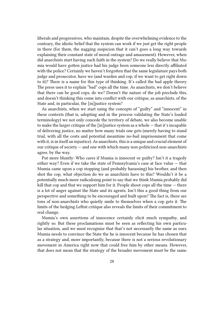liberals and progressives, who maintain, despite the overwhelming evidence to the contrary, the idiotic belief that the system can work if we just get the right people in there (for them, the nagging suspicion that it can't goes a long way towards explaining their constant state of moral outrage and amazement). However, when did anarchists start having such faith in the system? Do we really believe that Mumia would have gotten justice had his judge been someone less directly affiliated with the police? Certainly we haven't forgotten that the same legislature pays both judge and prosecutor, have we (and warden and cop, if we want to get right down to it)? There is a name for this type of thinking. It's called the bad apple theory. The press uses it to explain "bad" cops all the time. As anarchists, we don't believe that there can be good cops, do we? Doesn't the nature of the job preclude this, and doesn't thinking this come into conflict with our critique, as anarchists, of the State and, in particular, the [in]justice system?

As anarchists, when we start using the concepts of "guilty" and "innocent" in these contexts (that is, adopting and in the process validating the State's loaded terminology) we not only concede the territory of debate, we also become unable to make the larger critique of the [in]justice system as a whole — that it's incapable of delivering justice, no matter how many trials one gets (merely having to stand trial, with all the costs and potential meantime no-bail imprisonment that come with it, is in itself an injustice). As anarchists, this is a unique and crucial element of our critique of society — and one with which many non-politicized non-anarchists agree, by the way.

Put more bluntly: Who cares if Mumia is innocent or guilty? Isn't it a tragedy either way? Even if we take the state of Pennsylvania's case at face value — that Mumia came upon a cop stopping (and probably harassing) his brother, and then shot the cop, what objection do we as anarchists have to this? Wouldn't it be a potentially much more radicalizing point to say that we think Mumia probably did kill that cop and that we support him for it. People shoot cops all the time — there is a lot of anger against the State and its agents. Isn't this a good thing from our perspective and something to be encouraged and built upon? The fact is, there are tons of non-anarchists who quietly smile to themselves when a cop gets it. The limits of the hedging Leftist critique also reveals the limits of their commitment to real change.

Mumia's own assertions of innocence certainly elicit much sympathy, and rightly so. But these proclamations must be seen as reflecting his own particular situation, and we must recognize that that's not necessarily the same as ours. Mumia needs to convince the State the he is innocent because he has chosen that as a strategy and, more importantly, because there is not a serious revolutionary movement in America right now that could free him by other means. However, that does not mean that the strategy of the broader movement must be the same.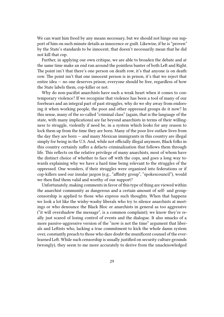We can want him freed by any means necessary, but we should not hinge our support of him on such minute details as innocence or guilt. Likewise, if he is "proven" by the State's standards to be innocent, that doesn't necessarily mean that he did not kill that cop.

Further, in applying our own critique, we are able to broaden the debate and at the same time make an end run around the pointless banter of both Left and Right. The point isn't that there's one person on death row, it's that anyone is on death row. The point isn't that one innocent person is in prison, it's that we reject that entire idea — no one deserves prison; everyone should be free, regardless of how the State labels them, cop-killer or not.

Why do non-pacifist anarchists have such a weak heart when it comes to contemporary violence? If we recognize that violence has been a tool of many of our forebears and an integral part of past struggles, why do we shy away from endorsing it when working people, the poor and other oppressed groups do it now? In this sense, many of the so-called "criminal class" (again, that is the language of the state, with many implications) are far beyond anarchists in terms of their willingness to struggle, violently if need be, in a system which looks for any reason to lock them up from the time they are born. Many of the poor live outlaw lives from the day they are born — and many Mexican immigrants in this country are illegal simply for being in the U.S. And, while not officially illegal anymore, Black folks in this country certainly suffer a defacto criminalization that follows them through life. This reflects on the relative privilege of many anarchists, most of whom have the distinct choice of whether to face off with the cops, and goes a long way towards explaining why we have a hard time being relevant to the struggles of the oppressed. One wonders, if their struggles were organized into federations or if cop-killers used our insular jargon (e.g., "affinity group", "spokescouncil"), would we then find them valid and worthy of our support?

Unfortunately, making comments in favor of this type of thing are viewed within the anarchist community as dangerous and a certain amount of self- and groupcensorship is applied to those who express such thoughts. When that happens we look a lot like the wishy-washy liberals who try to silence anarchists at meetings or who denounce the Black Bloc or anarchists in general as too aggressive ("it will overshadow the message", is a common complaint); we know they're really just scared of losing control of events and the dialogue. It also smacks of a more passive-aggressive version of the "now is not the time" argument that liberals and Leftists who, lacking a true commitment to kick the whole damn system over, constantly preach to those who dare doubt the munificent counsel of the everlearned Left. While such censorship is usually justified on security culture grounds (wrongly), they seem to me more accurately to derive from the unacknowledged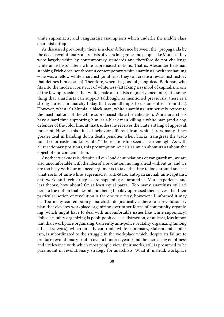white supremacist and vanguardist assumptions which underlie the middle class anarchist critique.

As discussed previously, there is a clear difference between the "propaganda by the deed" revolutionary anarchists of years long gone and people like Mumia. They were largely white by contemporary standards and therefore do not challenge white anarchists' latent white supremacist notions. That is, Alexander Berkman stabbing Frick does not threaten contemporary white anarchists' weltanschauung — he was a fellow white anarchist (or at least they can create a revisionist history that defines him as such). Therefore, when it's good ol', long-dead Berkman, who fits into the modern construct of whiteness (attacking a symbol of capitalism, one of the few oppressions that white, male anarchists regularly encounter), it's something that anarchists can support (although, as mentioned previously, there is a strong current in anarchy today that even attempts to distance itself from that). However, when it's Mumia, a black man, white anarchists instinctively retreat to the machinations of the white supremacist State for validation. White anarchists have a hard time supporting him, as a black man killing a white man (and a cop, defender of the color line, at that), unless he receives the State's stamp of approval: innocent. How is this kind of behavior different from white jurors many times greater zeal in handing down death penalties when blacks transgress the traditional color caste and kill whites? The relationship seems clear enough. As with all reactionary positions, this presumption reveals as much about us as about the object of our condemnation.

Another weakness is, despite all our loud denunciations of vanguardism, we are also uncomfortable with the idea of a revolution moving ahead without us, and we are too busy with our nuanced arguments to take the time to look around and see what sorts of anti-white supremacist, anti-State, anti-patriarchal, anti-capitalist, anti-work, anti-tech struggles are happening all around us. More experience and less theory, how about? Or at least equal parts… Too many anarchists still adhere to the notion that, despite not being terribly oppressed themselves, that their particular notion of revolution is the one true way, however ill-informed it may be. Too many contemporary anarchists dogmatically adhere to a revolutionary plan that elevates workplace organizing over other forms of community organizing (which might have to deal with uncomfortable issues like white supremacy). Police brutality organizing is pooh-pooh'ed as a distraction, or at least, less important than workplace organizing. Currently anti-police brutality organizing (among other strategies), which directly confronts white supremacy, Statism and capitalism, is subordinated to the struggle in the workplace which, despite its failure to produce revolutionary fruit in over a hundred years (and the increasing emptiness and irrelevance with which most people view their work), still is presumed to be paramount in revolutionary strategy for anarchists. What if, instead, workplace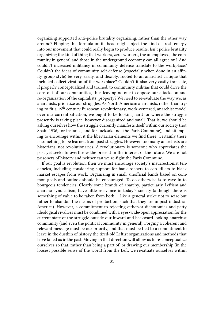organizing supported anti-police brutality organizing, rather than the other way around? Flipping this formula on its head might inject the kind of fresh energy into our movement that could really begin to produce results. Isn't police brutality organizing the kind of thing that workers, zero-workers, the unemployed, the community in general and those in the underground economy can all agree on? And couldn't increased militancy in community defense translate to the workplace? Couldn't the ideas of community self-defense (especially when done in an affinity group style) be very easily, and flexibly, rooted to an anarchist critique that included collectivization of the workplace? Couldn't it also very easily translate, if properly conceptualized and trained, to community militias that could drive the cops out of our communities, thus leaving no one to oppose our attacks on and re-organization of the capitalists' property? We need to re-evaluate the way we, as anarchists, prioritize our struggles. As North American anarchists, rather than trying to fit a 19th century European revolutionary, work-centered, anarchist model over our current situation, we ought to be looking hard for where the struggle presently is taking place, however disorganized and small. That is, we should be asking ourselves how the struggle currently manifests itself within our society (not Spain 1936, for instance, and for fucksake not the Paris Commune), and attempting to encourage within it the libertarian elements we find there. Certainly there is something to be learned from past struggles. However, too many anarchists are historians, not revolutionaries. A revolutionary is someone who appreciates the past yet seeks to overthrow the present in the interest of the future. We are not prisoners of history and neither can we re-fight the Paris Commune.

If our goal is revolution, then we must encourage society's insurrectionist tendencies, including considering support for bank robbers to cop killers to black market escapes from work. Organizing in small, unofficial bands based on common goals and outlook should be encouraged. To do otherwise is to cave in to bourgeois tendencies. Clearly some brands of anarchy, particularly Leftism and anarcho-syndicalism, have little relevance in today's society (although there is something of value to be taken from both — like a general strike not to seize but rather to abandon the means of production, such that they are in post-industrial America). However, a commitment to rejecting either/or dichotomies and petty ideological rivalries must be combined with a eyes-wide-open appreciation for the current state of the struggle outside our inward and backward looking anarchist community (and even the political community in general). Forging a coherent and relevant message must be our priority, and that must be tied to a commitment to leave in the dustbin of history the tired-old Leftist organizations and methods that have failed us in the past. Moving in that direction will allow us to re-conceptualize ourselves so that, rather than being a part of, or drawing our membership (in the loosest possible sense of the word) from the Left, we re-situate ourselves within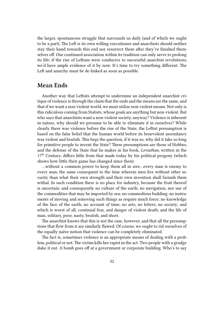the larger, spontaneous struggle that surrounds us daily (and of which we ought to be a part). The Left is its own willing executioner and anarchists should neither stay their hand towards this end nor resurrect them after they've finished themselves off. Our continued association within its tradition can only serve to prolong its life; if the rise of Leftism were conducive to successful anarchist revolutions, we'd have ample evidence of it by now. It's time to try something different. The Left and anarchy must be de-linked as soon as possible.

#### **Mean Ends**

Another way that Leftists attempt to undermine an independent anarchist critique of violence is through the claim that the ends and the means are the same, and that if we want a non-violent world, we must utilize non-violent means. Not only is this ridiculous coming from Statists, whose goals are anything but non-violent. But who says that anarchists want a non-violent society, anyway? Violence is inherent in nature, why should we presume to be able to eliminate it in ourselves? While clearly there was violence before the rise of the State, the Leftist presumption is based on the false belief that the human world before its benevolent ascendancy was violent and brutish. This begs the question, if it was so, why did it take so long for primitive people to invent the State? These presumptions are those of Hobbes, and the defense of the State that he makes in his book, *Leviathan*, written in the  $17<sup>th</sup>$  Century, differs little from that made today by his political progeny (which shows how little their game has changed since then):

…without a common power to keep them all in awe…every man is enemy to every man, the same consequent to the time wherein men live without other security than what their own strength and their own invention shall furnish them withal. In such condition there is no place for industry, because the fruit thereof is uncertain: and consequently no culture of the earth; no navigation, nor use of the commodities that may be imported by sea; no commodious building; no instruments of moving and removing such things as require much force; no knowledge of the face of the earth; no account of time; no arts; no letters; no society; and which is worst of all, continual fear, and danger of violent death; and the life of man, solitary, poor, nasty, brutish, and short.

The anarchist knows that this is not the case, however, and that all the presumptions that flow from it are similarly flawed. Of course, we ought to rid ourselves of the equally naïve notion that violence can be completely eliminated.

The fact is, sometimes violence is an appropriate means of dealing with a problem, political or not. The victim kills her rapist in the act. Two people with a grudge duke it out. A bomb goes off at a government or corporate building. Who's to say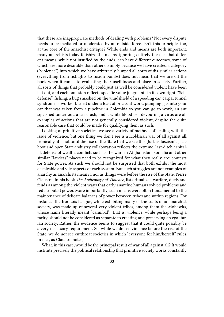that these are inappropriate methods of dealing with problems? Not every dispute needs to be mediated or moderated by an outside force. Isn't this principle, too, at the core of the anarchist critique? While ends and means are both important, many anarchists today fetishize the means, ignoring entirely the fact that different means, while not justified by the ends, can have different outcomes, some of which are more desirable than others. Simply because we have created a category ("violence") into which we have arbitrarily lumped all sorts of dis-similar actions (everything from fistfights to fusion bombs) does not mean that we are off the hook when it comes to evaluating their usefulness and place in society. Further, all sorts of things that probably could just as well be considered violent have been left out, and each omission reflects specific value judgments in its own right. "Selfdefense", fishing, a bug smashed on the windshield of a speeding car, carpal tunnel syndrome, a worker buried under a load of bricks at work, pumping gas into your car that was taken from a pipeline in Colombia so you can go to work, an ant squashed underfoot, a car crash, and a white blood cell devouring a virus are all examples of actions that are not generally considered violent, despite the quite reasonable case that could be made for qualifying them as such.

Looking at primitive societies, we see a variety of methods of dealing with the issue of violence, but one thing we don't see is a Hobbsian war of all against all. Ironically, it's not until the rise of the State that we see this. Just as fascism's jackboot and open State-industry collaboration reflects the extreme, last-ditch capitalist defense of wealth, conflicts such as the wars in Afghanistan, Somalia and other similar "lawless" places need to be recognized for what they really are: contests for State power. As such we should not be surprised that both exhibit the most despicable and vile aspects of each system. But such struggles are not examples of anarchy as anarchists mean it, nor as things were before the rise of the State. Pierre Claustre, in his book *The Archeology of Violence*, lists ritualized warfare, duels and feuds as among the violent ways that early anarchic humans solved problems and redistributed power. More importantly, such means were often fundamental to the maintenance of delicate balances of power between tribes and within regions. For instance, the Iroquois League, while exhibiting many of the traits of an anarchist society, was made up of several very violent tribes, among them the Mohawks, whose name literally meant "cannibal". That is, violence, while perhaps being a rarity, should not be considered as separate to creating and preserving an egalitarian society. Rather, the evidence seems to suggest that it could quite possibly be a very necessary requirement. So, while we do see violence before the rise of the State, we do not see cutthroat societies in which "everyone for him/herself" rules. In fact, as Claustre notes,

What, in this case, would be the principal result of war of all against all? It would institute precisely the political relationship that primitive society works constantly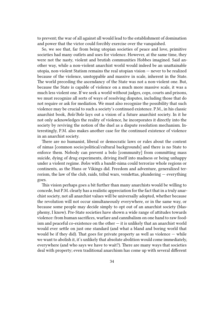to prevent; the war of all against all would lead to the establishment of domination and power that the victor could forcibly exercise over the vanquished.

So, we see that, far from being utopian societies of peace and love, primitive societies had many outlets and uses for violence. However, at the same time, they were not the nasty, violent and brutish communities Hobbes imagined. Said another way, while a non-violent anarchist world would indeed be an unattainable utopia, non-violent Statism remains the real utopian vision — never to be realized because of the violence, unstoppable and massive in scale, inherent in the State. The world preceding the ascendancy of the State was not a non-violent one. But, because the State is capable of violence on a much more massive scale, it was a much less violent one. If we seek a world without judges, cops, courts and prisons, we must recognize all sorts of ways of resolving disputes, including those that do not require or ask for mediation. We must also recognize the possibility that such violence may be crucial to such a society's continued existence. P.M., in his classic anarchist book, *Bolo'Bolo* lays out a vision of a future anarchist society. In it he not only acknowledges the reality of violence, he incorporates it directly into the society by reviving the notion of the duel as a dispute resolution mechanism. Interestingly, P.M. also makes another case for the continued existence of violence in an anarchist society.

There are no humanist, liberal or democratic laws or rules about the content of nimas [common socio/political/cultural backgrounds] and there is no State to enforce them. Nobody can prevent a bolo [community] from committing mass suicide, dying of drug experiments, driving itself into madness or being unhappy under a violent regime. *Bolos* with a bandit-nima could terrorize whole regions or continents, as the Huns or Vikings did. Freedom and adventure, generalized terrorism, the law of the club, raids, tribal wars, vendettas, plundering — everything goes.

This vision perhaps goes a bit further than many anarchists would be willing to concede, but P.M. clearly has a realistic appreciation for the fact that in a truly anarchist society, not all anarchist values will be universally adopted, whether because the revolution will not occur simultaneously everywhere, or in the same way, or because some people may decide simply to opt out of an anarchist society (blasphemy, I know). Pre-State societies have shown a wide range of attitudes towards violence: from human sacrifices, warfare and cannibalism on one hand to raw foodism and peaceful co-existence on the other  $-$  it is unlikely that an anarchist world would ever settle on just one standard (and what a bland and boring world that would be if they did). That goes for private property as well as violence  $-$  while we want to abolish it, it's unlikely that absolute abolition would come immediately, everywhere (and who says we have to wait?). There are many ways that societies deal with property; even traditional anarchism has come up with several different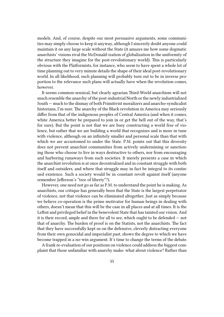models. And, of course, despite our most persuasive arguments, some communities may simply choose to keep it anyway, although I sincerely doubt anyone could maintain it on any large scale without the State (it amazes me how some dogmatic anarchists' visions rival the McDonald-ization of globalization in the uniformity of the structure they imagine for the post-revolutionary world). This is particularly obvious with the Platformists, for instance, who seem to have spent a whole lot of time planning out to very minute details the shape of their ideal post-revolutionary world. In all likelihood, such planning will probably turn out to be in inverse proportion to the relevance such plans will actually have when the revolution comes, however.

It seems common-sensical, but clearly agrarian Third-World anarchism will not much resemble the anarchy of the post-industrial North or the newly industrialized South — much to the dismay of both Primitivist moralizers and anarcho-syndicalist historians, I'm sure. The anarchy of the Black revolution in America may seriously differ from that of the indigenous peoples of Central America (and when it comes, white America better be prepared to join in or get the hell out of the way, that's for sure). But the point is not that we are busy constructing a world free of violence, but rather that we are building a world that recognizes and is more in tune with violence, although on an infinitely smaller and personal scale than that with which we are accustomed to under the State. P.M. points out that this diversity does not prevent anarchist communities from actively undermining or sanctioning those who choose to live in ways destructive to others, nor from encouraging and harboring runaways from such societies. It merely presents a case in which the anarchist revolution is at once decentralized and in constant struggle with both itself and outsiders, and where that struggle may in fact be integral to its continued existence. Such a society would be in constant revolt against itself (anyone remember Jefferson's "tree of liberty"?).

However, one need not go as far as P.M. to understand the point he is making. As anarchists, our critique has generally been that the State is the largest perpetrator of violence, not that violence can be eliminated altogether. Just as simply because we believe co-operation is the prime motivator for human beings in dealing with others, doesn't mean that this will be the case in all places and at all times. It is the Leftist and privileged belief in the benevolent State that has tainted our vision. And it is their record, ample and there for all to see, which ought to be defended — not that of anarchy. The burden of proof is on the Statists, not the anarchists. The fact that they have successfully kept us on the defensive, cleverly distracting everyone from their own genocidal and imperialist past, shows the degree to which we have become trapped in a no-win argument. It's time to change the terms of the debate.

A frank re-evaluation of our positions on violence could address the biggest complaint that those unfamiliar with anarchy make: what about violence? Rather than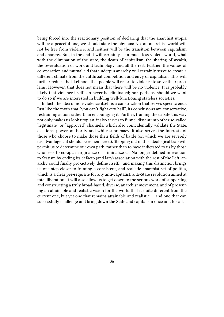being forced into the reactionary position of declaring that the anarchist utopia will be a peaceful one, we should state the obvious: No, an anarchist world will not be free from violence, and neither will be the transition between capitalism and anarchy. But, in the end it will certainly be a much less violent world, what with the elimination of the state, the death of capitalism, the sharing of wealth, the re-evaluation of work and technology, and all the rest. Further, the values of co-operation and mutual aid that underpin anarchy will certainly serve to create a different climate from the cutthroat competition and envy of capitalism. This will further reduce the likelihood that people will resort to violence to solve their problems. However, that does not mean that there will be no violence. It is probably likely that violence itself can never be eliminated; nor, perhaps, should we want to do so if we are interested in building well-functioning stateless societies.

In fact, the idea of non-violence itself is a construction that serves specific ends. Just like the myth that "you can't fight city hall", its conclusions are conservative, restraining action rather than encouraging it. Further, framing the debate this way not only makes us look utopian, it also serves to funnel dissent into other so-called "legitimate" or "approved" channels, which also coincidentally validate the State, elections, power, authority and white supremacy. It also serves the interests of those who choose to make those their fields of battle (on which we are severely disadvantaged, it should be remembered). Stepping out of this ideological trap will permit us to determine our own path, rather than to have it dictated to us by those who seek to co-opt, marginalize or criminalize us. No longer defined in reaction to Statism by ending its defacto (and lazy) association with the rest of the Left, anarchy could finally pro-actively define itself… and making this distinction brings us one step closer to framing a consistent, and realistic anarchist set of politics, which is a clear pre-requisite for any anti-capitalist, anti-State revolution aimed at total liberation. It will also allow us to get down to the serious work of supporting and constructing a truly broad-based, diverse, anarchist movement, and of presenting an attainable and realistic vision for the world that is quite different from the current one, but yet one that remains attainable and realistic — and one that can successfully challenge and bring down the State and capitalism once and for all.